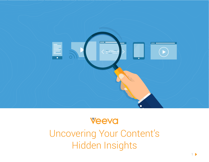

## **Veeva**

Uncovering Your Content's Hidden Insights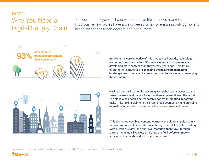## PART 1: Why You Need a Digital Supply Chain

The content lifecycle isn't a new concept for life sciences marketers. Rigorous review cycles have always been crucial for ensuring only compliant brand messages reach doctors and consumers.



But while the core objective of this process still stands, technology is creating new possibilities. 93% of life sciences companies are developing more content than they were 2 years ago.\* This influx of promotional materials **is changing the healthcare marketing landscape**, from the type of assets produced to the systems managing these materials.



Having a central location for assets gives global teams access to the same materials and makes it easy to share content all over the world. The cloud also enables better compliance by automating important tasks -- like linking claims to their reference documents – and providing more detailed tracking processes – like review times and reuse.

This technology-enabled content journey  $-$  the digital supply chain  $$ is how promotional materials move through the full lifecycle. Starting with creation, review, and approval, materials then travel through different channels like web, email, and the field before ultimately arriving in the hands of doctors and consumers.

\*[https://www.accenture.com/t20160928t033756z\\_\\_w\\_\\_/us-en/\\_acnmedia/pdf-33/accenture-strategy-digital-moving-beyond-like-live.pdf](https://www.accenture.com/t20160928t033756z__w__/us-en/_acnmedia/pdf-33/accenture-strategy-digital-moving-beyond-like-live.pdf)

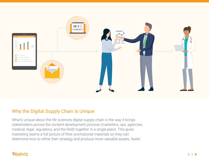

### Why the Digital Supply Chain is Unique

What's unique about the life sciences digital supply chain is the way it brings stakeholders across the content development process (marketers, ops, agencies, medical, legal, regulatory, and the field) together in a single place. This gives marketing teams a full picture of their promotional materials so they can determine how to refine their strategy and produce more valuable assets, faster.

### **Veeva**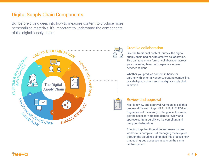## Digital Supply Chain Components

But before diving deep into how to measure content to produce more personalized materials, it's important to understand the components of the digital supply chain:



#### Creative collaboration

Like the traditional content journey, the digital supply chain begins with creative collaboration. This can take many forms - collaboration across your marketing team, with agencies, or even between regions.

Whether you produce content in-house or partner with external vendors, creating compelling, brand-aligned content sets the digital supply chain in motion.



#### Review and approval

Next is review and approval. Companies call this process different things: MLR, LMR, PLC, POP, etc. Regardless of the acronym, the goal is the same: get the necessary stakeholders to review and approve content quickly so it's compliant and ready for distribution.

Bringing together three different teams on one workflow is complex. But managing these cycles through the cloud has simplified this process now that each group accesses assets on the same central system.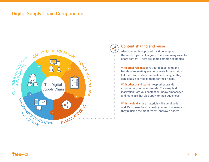### Digital Supply Chain Components



### Content sharing and reuse

After content is approved, it's time to spread the word to your colleagues. There are many ways to share content – here are some common examples:

With other regions: save your global teams the hassle of recreating existing assets from scratch. Let them know when materials are ready, so they can localize or modify them for their needs.

With other brand teams: keep other brands informed of your latest assets. They may find inspiration from your content or uncover messages and materials that also apply to their audiences.

With the field: share materials - like detail aids and iPad presentations - with your reps to ensure they're using the most recent, approved assets.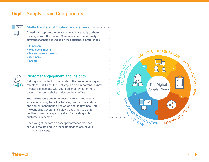## Digital Supply Chain Components



#### Multichannel distribution and delivery **multimerally**

Armed with approved content, your teams are ready to share messages with the market. Companies can use a variety of different channels depending on their audiences' preferences:

- $\geq$  In-person
- $>$  Web social media
- Marketing newsletters
- Webinars
- Events



#### Customer engagement and insights

Getting your content in the hands of the customer is a great milestone. But it's not the final step. It's also important to know if materials resonate with your audience, whether that's patients on your website or doctors in an office.

You can measure customer reaction to and engagement with assets using tools like tracking links, social metrics, and content sentiment, all of which should flow back into the centralized system. It's also a good idea to ask for feedback directly - especially if you're meeting with customers in person.

Once you gather data on asset performance, you can see your results and use these findings to adjust your marketing strategy.

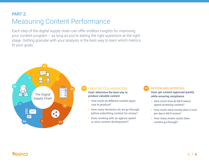## PART 2: Measuring Content Performance

Each step of the digital supply chain can offer endless insights for improving your content program – as long as you're asking the right questions at the right stage. Getting granular with your analysis is the best way to learn which metrics fit your goals.



#### 01 CREATIVE COLLABORATION **COLLABORATION Goal: determine the best way to**

**produce valuable content**

- $\geq$  How much do different content types cost to produce?
- $\geq$  How many iterations do we go through before submitting content for review?
- $\geq$  Does working with an agency speed or slow content development?

# **Goal: get content approved quickly**

**while ensuring compliance** 

- $\geq$  How much time do MLR teams spend reviewing content?
- $\geq$  How much extra money does it cost per day in MLR review?
- $\geq$  How many review cycles does content go through?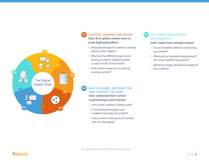

### 03 CONTENT SHARING AND REUSE

**Goal: drive global content reuse to avoid duplicating efforts**

- > What percentage of content is reused, and by which region?
- What are the different ways we're sharing content? Global-to-local? Local-to-local? Cross-brand?
- $\geq$  How much money do we save by reusing content?\*

#### MULTICHANNEL DISTRIBUTION AND CONTENT DELIVERY **Goal: understand how content**  04

**is performing in each channel**

- $>$  How much content is being used?
- $\geq$  Is this channel the best way to deliver that type of content?
- $>$  How current is this piece of content and its messaging?

#### CUSTOMER ENGAGEMENT AND INSIGHTS 05

#### **Goal: create more valuable content**

- $\geq$  Is our intended audience consuming our content?
- > What are our top-performing pieces? Our lowest-performing pieces?
- $\geq$  Based on usage, should we reapprove this content?

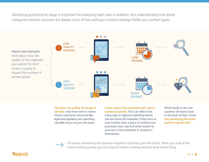Identifying questions by stage is important for analyzing each step in isolation. But understanding how these categories interact uncovers the deeper story of how well your content strategy fulfills your content goals.



The lower the quality, the longer it will take. And more time in review means expensive resources like legal and regulatory are spending valuable hours on just one asset.

It also means that materials won't get to market as quickly. This can affect how many reps or regional marketing teams use and reuse the materials. If they have to wait months after a piece of content was promised, they may find other assets to promote in the meantime or produce it themselves.

Which leads to the one question all teams have in the back of their minds: was developing this asset worth its overall cost?

Of course, answering this question requires more than just one metric. When you look at the entire content journey you can pinpoint what's working well and what needs fixing.

eevc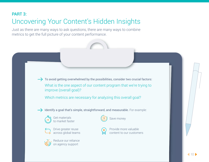## PART 3: Uncovering Your Content's Hidden Insights

Just as there are many ways to ask questions, there are many ways to combine metrics to get the full picture of your content performance.

> $\rightarrow$  To avoid getting overwhelmed by the possibilities, consider two crucial factors: What is the one aspect of our content program that we're trying to improve (overall goal)?

Which metrics are necessary for analyzing this overall goal?

 $\rightarrow$  Identify a goal that's simple, straightforward, and measurable. For example:



Get materials (S) Save money<br>to market faster





Reduce our reliance on agency support





Provide more valuable content to our customers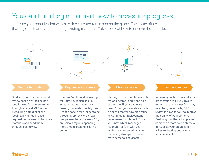## You can then begin to chart how to measure progress.

Let's say your organization wants to drive greater reuse across the globe. The home office is concerned that regional teams are recreating existing materials. Take a look at how to uncover bottlenecks:



of the coin. If your audience doesn't find your assets valuable, it doesn't matter how high reuse is. Continue to track content once teams distribute it. Once you know which messages resonate - or fail - with your audience, you can adjust your marketing strategy to create more personalized assets.

review speed by tracking how long it takes for content to go through a typical MLR review. Measuring both global and local review times in case regional teams need to translate materials and send them through local review.

MLR time by region, look at whether teams are actually reusing materials. Identify trends – when assets take longer to get through MLR review, do fewer groups use these materials? Or, are certain regions spending more time recreating existing content?

### VAAVC

more than one answer. You may need to figure out why MLR review is slow as well as improve

the quality of your content. Realizing that these two pieces compose a more complete view of reuse at your organization is key to figuring out how to

improve results.